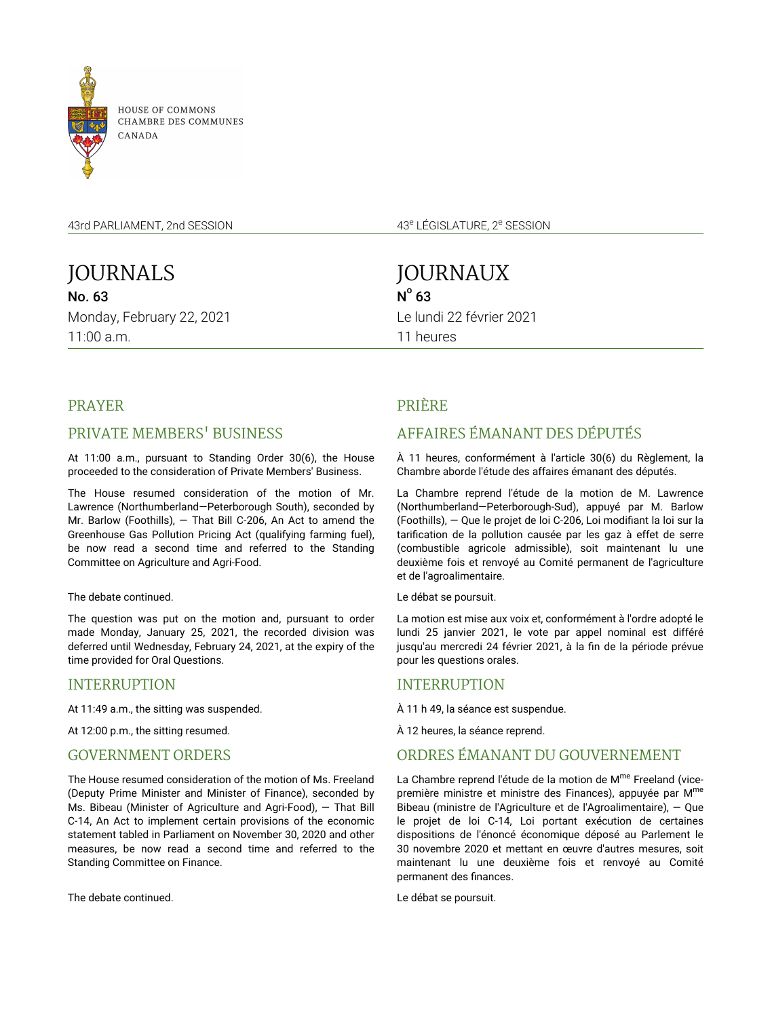

**HOUSE OF COMMONS** CHAMBRE DES COMMUNES CANADA

43rd PARLIAMENT, 2nd SESSION

JOURNALS No. 63 Monday, February 22, 2021 11:00 a.m.

43<sup>e</sup> LÉGISLATURE, 2<sup>e</sup> SESSION

JOURNAUX  $N^{\circ}$  63 Le lundi 22 février 2021 11 heures

# PRAYER

# PRIVATE MEMBERS' BUSINESS

At 11:00 a.m., pursuant to Standing Order 30(6), the House proceeded to the consideration of Private Members' Business.

The House resumed consideration of the motion of Mr. Lawrence (Northumberland—Peterborough South), seconded by Mr. Barlow (Foothills), — That Bill C-206, An Act to amend the Greenhouse Gas Pollution Pricing Act (qualifying farming fuel), be now read a second time and referred to the Standing Committee on Agriculture and Agri-Food.

### The debate continued.

The question was put on the motion and, pursuant to order made Monday, January 25, 2021, the recorded division was deferred until Wednesday, February 24, 2021, at the expiry of the time provided for Oral Questions.

### INTERRUPTION

At 11:49 a.m., the sitting was suspended.

At 12:00 p.m., the sitting resumed.

### GOVERNMENT ORDERS

The House resumed consideration of the motion of Ms. Freeland (Deputy Prime Minister and Minister of Finance), seconded by Ms. Bibeau (Minister of Agriculture and Agri-Food), — That Bill C-14, An Act to implement certain provisions of the economic statement tabled in Parliament on November 30, 2020 and other measures, be now read a second time and referred to the Standing Committee on Finance.

The debate continued.

# PRIÈRE

# AFFAIRES ÉMANANT DES DÉPUTÉS

À 11 heures, conformément à l'article 30(6) du Règlement, la Chambre aborde l'étude des affaires émanant des députés.

La Chambre reprend l'étude de la motion de M. Lawrence (Northumberland—Peterborough-Sud), appuyé par M. Barlow (Foothills), — Que le projet de loi C-206, Loi modifiant la loi sur la tarification de la pollution causée par les gaz à effet de serre (combustible agricole admissible), soit maintenant lu une deuxième fois et renvoyé au Comité permanent de l'agriculture et de l'agroalimentaire.

Le débat se poursuit.

La motion est mise aux voix et, conformément à l'ordre adopté le lundi 25 janvier 2021, le vote par appel nominal est différé jusqu'au mercredi 24 février 2021, à la fin de la période prévue pour les questions orales.

### INTERRUPTION

À 11 h 49, la séance est suspendue.

À 12 heures, la séance reprend.

## ORDRES ÉMANANT DU GOUVERNEMENT

La Chambre reprend l'étude de la motion de M<sup>me</sup> Freeland (vicepremière ministre et ministre des Finances), appuyée par M<sup>me</sup> Bibeau (ministre de l'Agriculture et de l'Agroalimentaire), — Que le projet de loi C-14, Loi portant exécution de certaines dispositions de l'énoncé économique déposé au Parlement le 30 novembre 2020 et mettant en œuvre d'autres mesures, soit maintenant lu une deuxième fois et renvoyé au Comité permanent des finances.

Le débat se poursuit.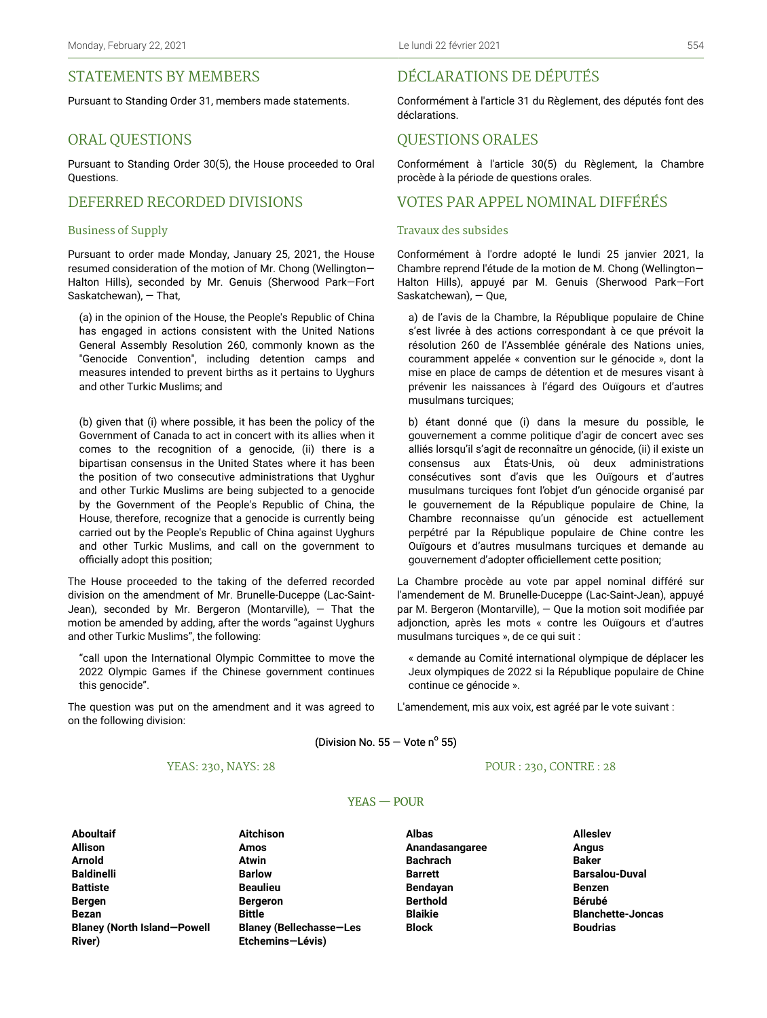## STATEMENTS BY MEMBERS

Pursuant to Standing Order 31, members made statements.

### ORAL QUESTIONS

Pursuant to Standing Order 30(5), the House proceeded to Oral Questions.

## DEFERRED RECORDED DIVISIONS

#### Business of Supply

Pursuant to order made Monday, January 25, 2021, the House resumed consideration of the motion of Mr. Chong (Wellington— Halton Hills), seconded by Mr. Genuis (Sherwood Park—Fort Saskatchewan), — That,

(a) in the opinion of the House, the People's Republic of China has engaged in actions consistent with the United Nations General Assembly Resolution 260, commonly known as the "Genocide Convention", including detention camps and measures intended to prevent births as it pertains to Uyghurs and other Turkic Muslims; and

(b) given that (i) where possible, it has been the policy of the Government of Canada to act in concert with its allies when it comes to the recognition of a genocide, (ii) there is a bipartisan consensus in the United States where it has been the position of two consecutive administrations that Uyghur and other Turkic Muslims are being subjected to a genocide by the Government of the People's Republic of China, the House, therefore, recognize that a genocide is currently being carried out by the People's Republic of China against Uyghurs and other Turkic Muslims, and call on the government to officially adopt this position;

The House proceeded to the taking of the deferred recorded division on the amendment of Mr. Brunelle-Duceppe (Lac-Saint-Jean), seconded by Mr. Bergeron (Montarville),  $-$  That the motion be amended by adding, after the words "against Uyghurs and other Turkic Muslims", the following:

"call upon the International Olympic Committee to move the 2022 Olympic Games if the Chinese government continues this genocide".

The question was put on the amendment and it was agreed to on the following division:

# DÉCLARATIONS DE DÉPUTÉS

Conformément à l'article 31 du Règlement, des députés font des déclarations.

### QUESTIONS ORALES

Conformément à l'article 30(5) du Règlement, la Chambre procède à la période de questions orales.

### VOTES PAR APPEL NOMINAL DIFFÉRÉS

### Travaux des subsides

Conformément à l'ordre adopté le lundi 25 janvier 2021, la Chambre reprend l'étude de la motion de M. Chong (Wellington— Halton Hills), appuyé par M. Genuis (Sherwood Park—Fort Saskatchewan), — Que,

a) de l'avis de la Chambre, la République populaire de Chine s'est livrée à des actions correspondant à ce que prévoit la résolution 260 de l'Assemblée générale des Nations unies, couramment appelée « convention sur le génocide », dont la mise en place de camps de détention et de mesures visant à prévenir les naissances à l'égard des Ouïgours et d'autres musulmans turciques;

b) étant donné que (i) dans la mesure du possible, le gouvernement a comme politique d'agir de concert avec ses alliés lorsqu'il s'agit de reconnaître un génocide, (ii) il existe un consensus aux États-Unis, où deux administrations consécutives sont d'avis que les Ouïgours et d'autres musulmans turciques font l'objet d'un génocide organisé par le gouvernement de la République populaire de Chine, la Chambre reconnaisse qu'un génocide est actuellement perpétré par la République populaire de Chine contre les Ouïgours et d'autres musulmans turciques et demande au gouvernement d'adopter officiellement cette position;

La Chambre procède au vote par appel nominal différé sur l'amendement de M. Brunelle-Duceppe (Lac-Saint-Jean), appuyé par M. Bergeron (Montarville), — Que la motion soit modifiée par adjonction, après les mots « contre les Ouïgours et d'autres musulmans turciques », de ce qui suit :

« demande au Comité international olympique de déplacer les Jeux olympiques de 2022 si la République populaire de Chine continue ce génocide ».

L'amendement, mis aux voix, est agréé par le vote suivant :

(Division No.  $55 -$  Vote n<sup>o</sup> 55)

#### YEAS: 230, NAYS: 28

POUR : 230, CONTRE : 28

### YEAS — POUR

**Aboultaif Aitchison Albas Alleslev Blaney (North Island—Powell River)**

**Allison Amos Anandasangaree Angus Arnold Atwin Bachrach Baker Baldinelli Barlow Barrett Barsalou-Duval Battiste Beaulieu Bendayan Benzen Bergen Bergeron Berthold Bérubé Bezan Bittle Blaikie Blanchette-Joncas Blaney (Bellechasse—Les Etchemins—Lévis)**

**Block Boudrias**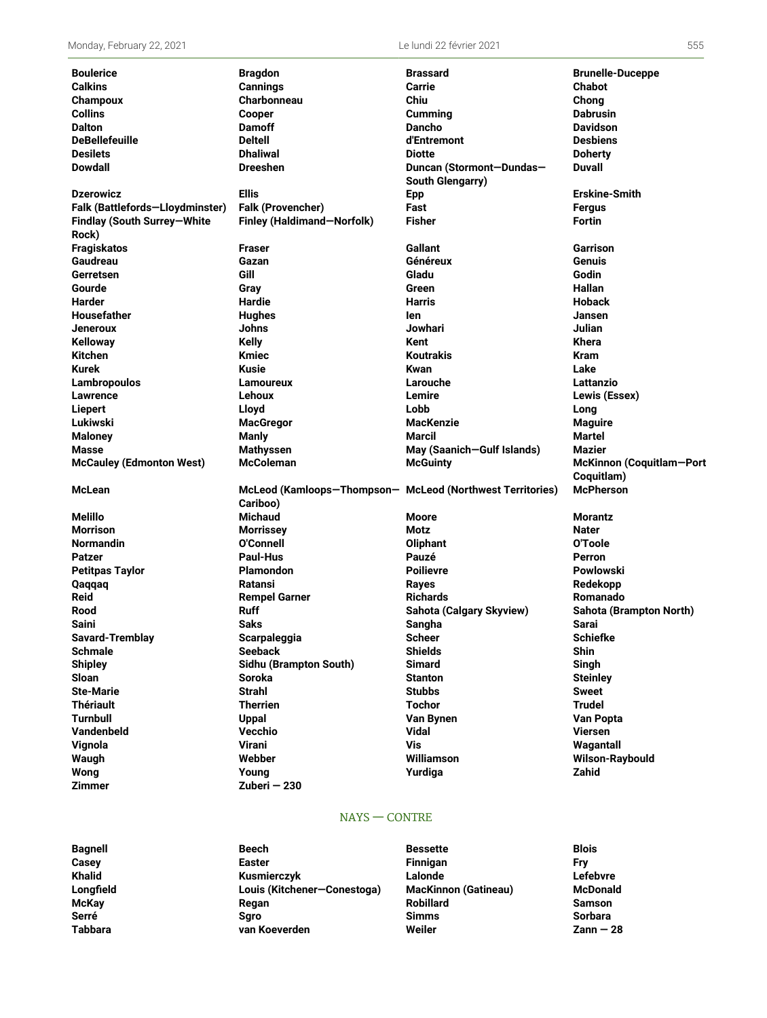| <b>Boulerice</b><br><b>Calkins</b> | <b>Bragdon</b><br><b>Cannings</b>                                     | <b>Brassard</b><br><b>Carrie</b> | <b>Brunelle-Duceppe</b><br>Chabot |
|------------------------------------|-----------------------------------------------------------------------|----------------------------------|-----------------------------------|
| Champoux                           | <b>Charbonneau</b>                                                    | Chiu                             | Chong                             |
| <b>Collins</b>                     | <b>Cooper</b>                                                         | Cumming                          | Dabrusin                          |
| <b>Dalton</b>                      | <b>Damoff</b>                                                         | <b>Dancho</b>                    | <b>Davidson</b>                   |
| <b>DeBellefeuille</b>              | <b>Deltell</b>                                                        | d'Entremont                      | <b>Desbiens</b>                   |
| <b>Desilets</b>                    | <b>Dhaliwal</b>                                                       | <b>Diotte</b>                    | <b>Doherty</b>                    |
| <b>Dowdall</b>                     | <b>Dreeshen</b>                                                       | Duncan (Stormont-Dundas-         | <b>Duvall</b>                     |
|                                    |                                                                       | <b>South Glengarry)</b>          |                                   |
| <b>Dzerowicz</b>                   | <b>Ellis</b>                                                          | <b>Epp</b>                       | <b>Erskine-Smith</b>              |
| Falk (Battlefords-Lloydminster)    | Falk (Provencher)                                                     | Fast                             | Fergus                            |
| Findlay (South Surrey-White        | Finley (Haldimand-Norfolk)                                            | <b>Fisher</b>                    | Fortin                            |
| Rock)                              |                                                                       |                                  |                                   |
| <b>Fragiskatos</b>                 | <b>Fraser</b>                                                         | Gallant                          | Garrison                          |
| Gaudreau                           | Gazan                                                                 | Généreux                         | Genuis                            |
| Gerretsen                          | Gill                                                                  | Gladu                            | Godin                             |
| Gourde                             | Gray                                                                  | Green                            | Hallan                            |
| Harder                             | <b>Hardie</b>                                                         | Harris                           | <b>Hoback</b>                     |
| <b>Housefather</b>                 | <b>Hughes</b>                                                         | len                              | Jansen                            |
| <b>Jeneroux</b>                    | <b>Johns</b>                                                          | Jowhari                          | Julian                            |
| Kelloway                           | <b>Kelly</b>                                                          | Kent                             | Khera                             |
| <b>Kitchen</b>                     | <b>Kmiec</b>                                                          | <b>Koutrakis</b>                 | <b>Kram</b>                       |
| <b>Kurek</b>                       | <b>Kusie</b>                                                          | <b>Kwan</b>                      | Lake                              |
| Lambropoulos                       | <b>Lamoureux</b>                                                      | Larouche                         | Lattanzio                         |
| Lawrence                           | Lehoux                                                                | Lemire                           | Lewis (Essex)                     |
| Liepert                            | Lloyd                                                                 | Lobb                             | Long                              |
| Lukiwski                           | <b>MacGregor</b>                                                      | <b>MacKenzie</b>                 | <b>Maguire</b>                    |
| <b>Maloney</b>                     | <b>Manly</b>                                                          | Marcil                           | Martel                            |
| <b>Masse</b>                       | <b>Mathyssen</b>                                                      | May (Saanich-Gulf Islands)       | Mazier                            |
| <b>McCauley (Edmonton West)</b>    | <b>McColeman</b>                                                      | <b>McGuinty</b>                  | McKinnon (Coquitlam-Port          |
| <b>McLean</b>                      |                                                                       |                                  | Coquitlam)<br><b>McPherson</b>    |
|                                    | McLeod (Kamloops-Thompson- McLeod (Northwest Territories)<br>Cariboo) |                                  |                                   |
| Melillo                            | <b>Michaud</b>                                                        | Moore                            | <b>Morantz</b>                    |
| <b>Morrison</b>                    | <b>Morrissey</b>                                                      | Motz                             | Nater                             |
| <b>Normandin</b>                   | <b>O'Connell</b>                                                      | Oliphant                         | O'Toole                           |
| <b>Patzer</b>                      | <b>Paul-Hus</b>                                                       | Pauzé                            | Perron                            |
| <b>Petitpas Taylor</b>             | <b>Plamondon</b>                                                      | <b>Poilievre</b>                 | Powlowski                         |
| Qaqqaq                             | Ratansi                                                               | <b>Rayes</b>                     | Redekopp                          |
| <b>Reid</b>                        | <b>Rempel Garner</b>                                                  | <b>Richards</b>                  | Romanado                          |
| Rood                               | <b>Ruff</b>                                                           | Sahota (Calgary Skyview)         | Sahota (Brampton North)           |
| Saini                              | <b>Saks</b>                                                           | Sangha                           | <b>Sarai</b>                      |
| Savard-Tremblay                    | Scarpaleggia                                                          | <b>Scheer</b>                    | <b>Schiefke</b>                   |
| <b>Schmale</b>                     | <b>Seeback</b>                                                        | <b>Shields</b>                   | <b>Shin</b>                       |
| <b>Shipley</b>                     | Sidhu (Brampton South)                                                | <b>Simard</b>                    | Singh                             |
| <b>Sloan</b>                       | <b>Soroka</b>                                                         | <b>Stanton</b>                   | <b>Steinley</b>                   |
| <b>Ste-Marie</b>                   | <b>Strahl</b>                                                         | <b>Stubbs</b>                    | Sweet                             |
| <b>Thériault</b>                   | <b>Therrien</b>                                                       | <b>Tochor</b>                    | <b>Trudel</b>                     |
| <b>Turnbull</b>                    | <b>Uppal</b>                                                          | Van Bynen                        | Van Popta                         |
| <b>Vandenbeld</b>                  | Vecchio                                                               | <b>Vidal</b>                     | Viersen                           |
| Vignola                            | <b>Virani</b>                                                         | Vis                              | Wagantall                         |
| Waugh                              | Webber                                                                | Williamson                       | Wilson-Raybould                   |
| Wong                               | Young                                                                 | Yurdiga                          | Zahid                             |
| <b>Zimmer</b>                      | Zuberi $-230$                                                         |                                  |                                   |
|                                    |                                                                       |                                  |                                   |
|                                    | $NAYS - CONTRE$                                                       |                                  |                                   |
|                                    |                                                                       |                                  |                                   |
| <b>Bagnell</b>                     | <b>Beech</b>                                                          | <b>Bessette</b>                  | <b>Blois</b>                      |

# **Casey Easter Finnigan Fry Khalid Kusmierczyk Lalonde Lefebvre Longfield Louis (Kitchener—Conestoga) MacKinnon (Gatineau) McDonald McKay Regan Robillard Samson Serré Sgro Simms Sorbara**

**Tabbara van Koeverden Weiler Zann — 28**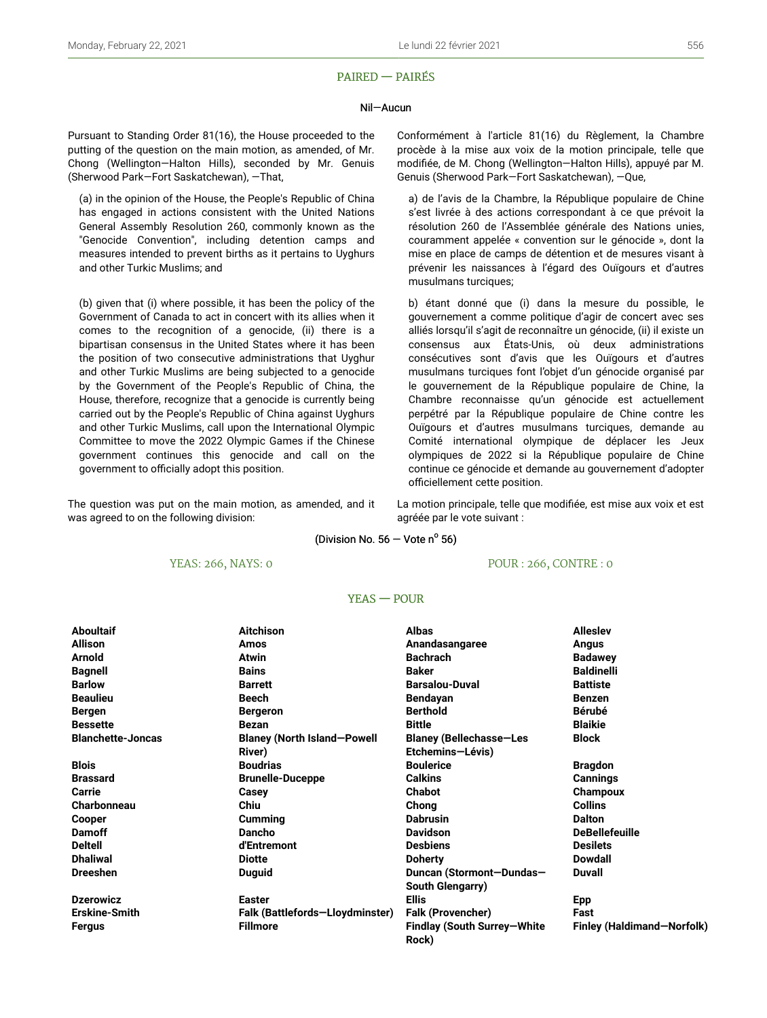### PAIRED — PAIRÉS

#### Nil—Aucun

Pursuant to Standing Order 81(16), the House proceeded to the putting of the question on the main motion, as amended, of Mr. Chong (Wellington—Halton Hills), seconded by Mr. Genuis (Sherwood Park—Fort Saskatchewan), —That,

(a) in the opinion of the House, the People's Republic of China has engaged in actions consistent with the United Nations General Assembly Resolution 260, commonly known as the "Genocide Convention", including detention camps and measures intended to prevent births as it pertains to Uyghurs and other Turkic Muslims; and

(b) given that (i) where possible, it has been the policy of the Government of Canada to act in concert with its allies when it comes to the recognition of a genocide, (ii) there is a bipartisan consensus in the United States where it has been the position of two consecutive administrations that Uyghur and other Turkic Muslims are being subjected to a genocide by the Government of the People's Republic of China, the House, therefore, recognize that a genocide is currently being carried out by the People's Republic of China against Uyghurs and other Turkic Muslims, call upon the International Olympic Committee to move the 2022 Olympic Games if the Chinese government continues this genocide and call on the government to officially adopt this position.

The question was put on the main motion, as amended, and it was agreed to on the following division:

Conformément à l'article 81(16) du Règlement, la Chambre procède à la mise aux voix de la motion principale, telle que modifiée, de M. Chong (Wellington—Halton Hills), appuyé par M. Genuis (Sherwood Park—Fort Saskatchewan), —Que,

a) de l'avis de la Chambre, la République populaire de Chine s'est livrée à des actions correspondant à ce que prévoit la résolution 260 de l'Assemblée générale des Nations unies, couramment appelée « convention sur le génocide », dont la mise en place de camps de détention et de mesures visant à prévenir les naissances à l'égard des Ouïgours et d'autres musulmans turciques;

b) étant donné que (i) dans la mesure du possible, le gouvernement a comme politique d'agir de concert avec ses alliés lorsqu'il s'agit de reconnaître un génocide, (ii) il existe un consensus aux États-Unis, où deux administrations consécutives sont d'avis que les Ouïgours et d'autres musulmans turciques font l'objet d'un génocide organisé par le gouvernement de la République populaire de Chine, la Chambre reconnaisse qu'un génocide est actuellement perpétré par la République populaire de Chine contre les Ouïgours et d'autres musulmans turciques, demande au Comité international olympique de déplacer les Jeux olympiques de 2022 si la République populaire de Chine continue ce génocide et demande au gouvernement d'adopter officiellement cette position.

La motion principale, telle que modifiée, est mise aux voix et est agréée par le vote suivant :

(Division No.  $56 -$  Vote n<sup>o</sup> 56)

### YEAS: 266, NAYS: 0

POUR : 266, CONTRE : 0

#### YEAS — POUR

| <b>Aboultaif</b>         | <b>Aitchison</b>                   | <b>Albas</b>                         | <b>Alleslev</b>            |
|--------------------------|------------------------------------|--------------------------------------|----------------------------|
| <b>Allison</b>           | Amos                               | Anandasangaree                       | Angus                      |
| <b>Arnold</b>            | <b>Atwin</b>                       | <b>Bachrach</b>                      | <b>Badawey</b>             |
| <b>Bagnell</b>           | <b>Bains</b>                       | <b>Baker</b>                         | <b>Baldinelli</b>          |
| <b>Barlow</b>            | <b>Barrett</b>                     | <b>Barsalou-Duval</b>                | <b>Battiste</b>            |
| <b>Beaulieu</b>          | Beech                              | Bendayan                             | <b>Benzen</b>              |
| <b>Bergen</b>            | <b>Bergeron</b>                    | <b>Berthold</b>                      | <b>Bérubé</b>              |
| <b>Bessette</b>          | <b>Bezan</b>                       | <b>Bittle</b>                        | <b>Blaikie</b>             |
| <b>Blanchette-Joncas</b> | <b>Blaney (North Island-Powell</b> | <b>Blaney (Bellechasse-Les</b>       | <b>Block</b>               |
|                          | River)                             | Etchemins-Lévis)                     |                            |
| <b>Blois</b>             | <b>Boudrias</b>                    | <b>Boulerice</b>                     | <b>Bragdon</b>             |
| <b>Brassard</b>          | <b>Brunelle-Duceppe</b>            | <b>Calkins</b>                       | Cannings                   |
| Carrie                   | Casey                              | <b>Chabot</b>                        | Champoux                   |
| <b>Charbonneau</b>       | Chiu                               | Chong                                | <b>Collins</b>             |
| Cooper                   | <b>Cumming</b>                     | <b>Dabrusin</b>                      | <b>Dalton</b>              |
| <b>Damoff</b>            | Dancho                             | <b>Davidson</b>                      | <b>DeBellefeuille</b>      |
| <b>Deltell</b>           | d'Entremont                        | <b>Desbiens</b>                      | <b>Desilets</b>            |
| <b>Dhaliwal</b>          | <b>Diotte</b>                      | <b>Doherty</b>                       | Dowdall                    |
| <b>Dreeshen</b>          | <b>Duguid</b>                      | Duncan (Stormont-Dundas-             | <b>Duvall</b>              |
|                          |                                    | South Glengarry)                     |                            |
| <b>Dzerowicz</b>         | <b>Easter</b>                      | <b>Ellis</b>                         | <b>Epp</b>                 |
| <b>Erskine-Smith</b>     | Falk (Battlefords-Lloydminster)    | <b>Falk (Provencher)</b>             | Fast                       |
| Fergus                   | <b>Fillmore</b>                    | Findlay (South Surrey-White<br>Rock) | Finley (Haldimand-Norfolk) |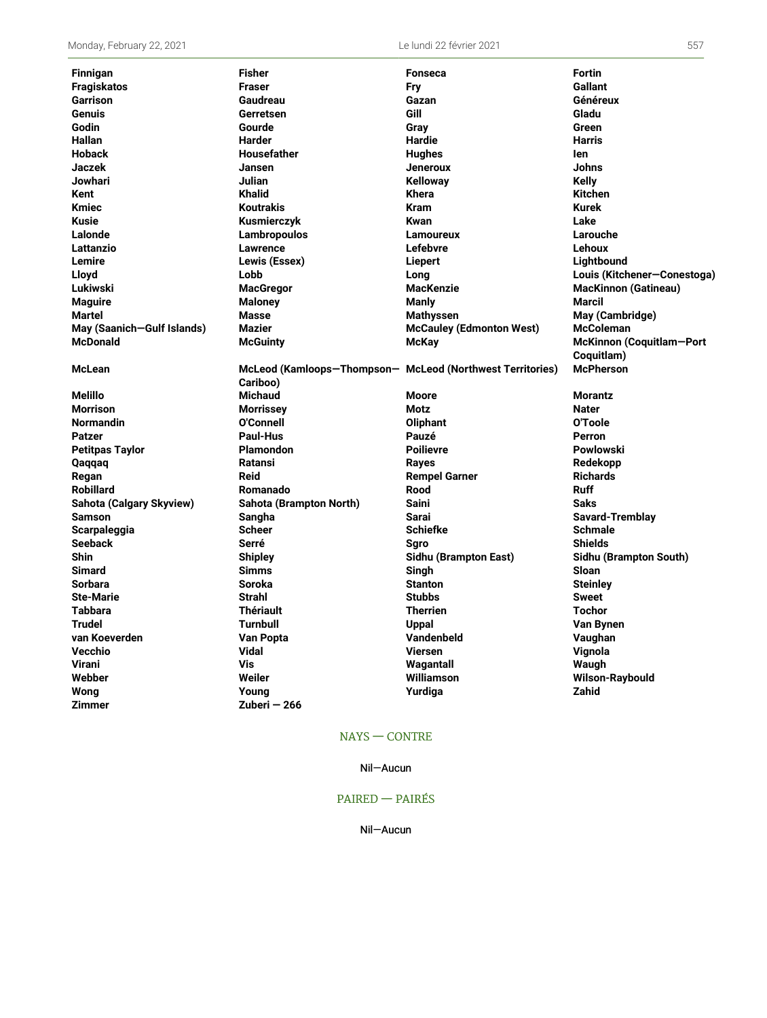| <b>Finnigan</b>            | <b>Fisher</b>                                             | <b>Fonseca</b>                  | <b>Fortin</b>               |
|----------------------------|-----------------------------------------------------------|---------------------------------|-----------------------------|
| <b>Fragiskatos</b>         | <b>Fraser</b>                                             | Fry                             | <b>Gallant</b>              |
| <b>Garrison</b>            | Gaudreau                                                  | Gazan                           | Généreux                    |
| Genuis                     | Gerretsen                                                 | Gill                            | Gladu                       |
| Godin                      | Gourde                                                    | Gray                            | Green                       |
| Hallan                     | Harder                                                    | <b>Hardie</b>                   | <b>Harris</b>               |
| <b>Hoback</b>              | Housefather                                               | <b>Hughes</b>                   | len                         |
| <b>Jaczek</b>              | Jansen                                                    | <b>Jeneroux</b>                 | Johns                       |
| Jowhari                    | Julian                                                    | <b>Kelloway</b>                 | Kelly                       |
| Kent                       | <b>Khalid</b>                                             | <b>Khera</b>                    | <b>Kitchen</b>              |
| <b>Kmiec</b>               | <b>Koutrakis</b>                                          | <b>Kram</b>                     | Kurek                       |
| Kusie                      | Kusmierczyk                                               | Kwan                            | Lake                        |
| Lalonde                    | Lambropoulos                                              | <b>Lamoureux</b>                | Larouche                    |
| Lattanzio                  | <b>Lawrence</b>                                           | Lefebvre                        | Lehoux                      |
| Lemire                     | Lewis (Essex)                                             | Liepert                         | Lightbound                  |
| Lloyd                      | Lobb                                                      | Lona                            | Louis (Kitchener-Conestoga) |
| Lukiwski                   | <b>MacGregor</b>                                          | <b>MacKenzie</b>                | <b>MacKinnon (Gatineau)</b> |
| <b>Maguire</b>             | <b>Maloney</b>                                            | Manly                           | Marcil                      |
| <b>Martel</b>              | <b>Masse</b>                                              | <b>Mathyssen</b>                | May (Cambridge)             |
| May (Saanich-Gulf Islands) | Mazier                                                    | <b>McCauley (Edmonton West)</b> | <b>McColeman</b>            |
| <b>McDonald</b>            | <b>McGuinty</b>                                           | McKay                           | McKinnon (Coquitlam-Port    |
|                            |                                                           |                                 | Coquitlam)                  |
| <b>McLean</b>              | McLeod (Kamloops-Thompson- McLeod (Northwest Territories) |                                 | <b>McPherson</b>            |
|                            | Cariboo)                                                  |                                 |                             |
| <b>Melillo</b>             | <b>Michaud</b>                                            | <b>Moore</b>                    | <b>Morantz</b>              |
| <b>Morrison</b>            | <b>Morrissey</b>                                          | Motz                            | <b>Nater</b>                |
| <b>Normandin</b>           | O'Connell                                                 | <b>Oliphant</b>                 | O'Toole                     |
| <b>Patzer</b>              | <b>Paul-Hus</b>                                           | Pauzé                           | Perron                      |
| <b>Petitpas Taylor</b>     | <b>Plamondon</b>                                          | <b>Poilievre</b>                | Powlowski                   |
| Qaqqaq                     | Ratansi                                                   | Rayes                           | Redekopp                    |
| Regan                      | <b>Reid</b>                                               | <b>Rempel Garner</b>            | <b>Richards</b>             |
| <b>Robillard</b>           | Romanado                                                  | Rood                            | <b>Ruff</b>                 |
| Sahota (Calgary Skyview)   | Sahota (Brampton North)                                   | <b>Saini</b>                    | <b>Saks</b>                 |
| <b>Samson</b>              | Sangha                                                    | Sarai                           | <b>Savard-Tremblay</b>      |
| Scarpaleggia               | <b>Scheer</b>                                             | <b>Schiefke</b>                 | <b>Schmale</b>              |
| <b>Seeback</b>             | Serré                                                     | Saro                            | <b>Shields</b>              |
| Shin                       | <b>Shipley</b>                                            | Sidhu (Brampton East)           | Sidhu (Brampton South)      |
| Simard                     | <b>Simms</b>                                              | Singh                           | Sloan                       |
| <b>Sorbara</b>             | <b>Soroka</b>                                             | <b>Stanton</b>                  | <b>Steinley</b>             |
| <b>Ste-Marie</b>           | <b>Strahl</b>                                             | <b>Stubbs</b>                   | <b>Sweet</b>                |
| <b>Tabbara</b>             | <b>Thériault</b>                                          | <b>Therrien</b>                 | <b>Tochor</b>               |
| <b>Trudel</b>              | <b>Turnbull</b>                                           | <b>Uppal</b>                    | Van Bynen                   |
| van Koeverden              | Van Popta                                                 | Vandenbeld                      | Vaughan                     |
| Vecchio                    | <b>Vidal</b>                                              | <b>Viersen</b>                  | Vignola                     |
| <b>Virani</b>              | Vis                                                       | Wagantall                       | Waugh                       |
| Webber                     | Weiler                                                    | Williamson                      | Wilson-Raybould             |
| Wong                       | Young                                                     | Yurdiga                         | <b>Zahid</b>                |
| Zimmer                     | Zuberi – 266                                              |                                 |                             |

## NAYS — CONTRE

### Nil—Aucun

## PAIRED — PAIRÉS

Nil—Aucun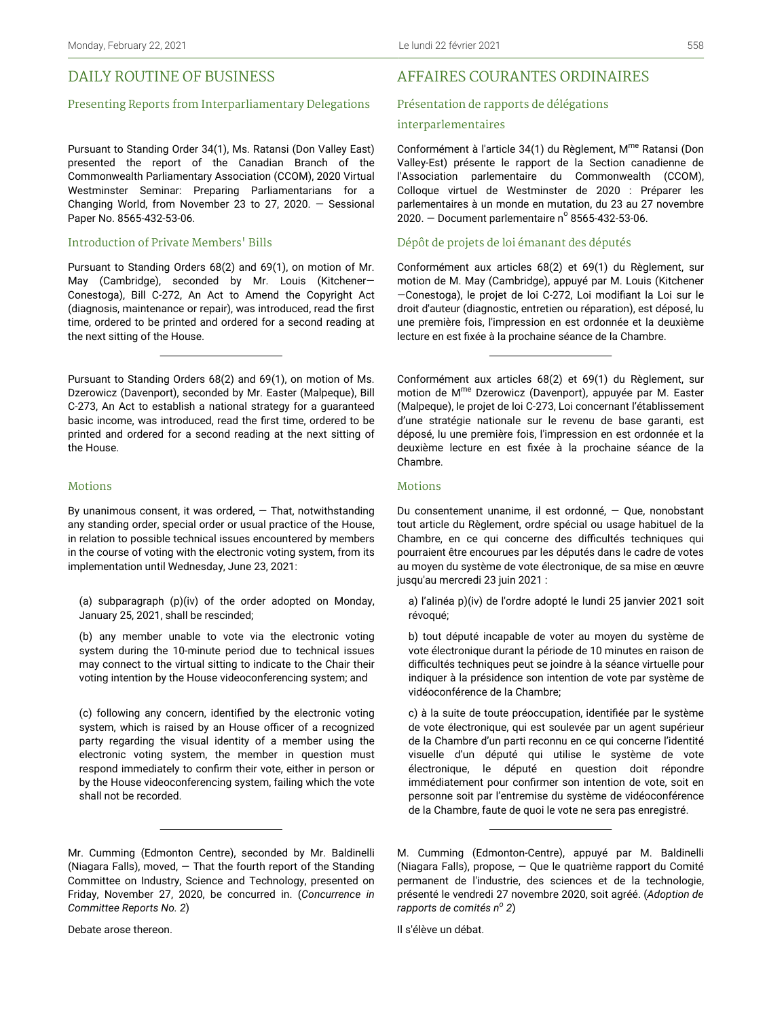## DAILY ROUTINE OF BUSINESS

#### Presenting Reports from Interparliamentary Delegations

Pursuant to Standing Order 34(1), Ms. Ratansi (Don Valley East) presented the report of the Canadian Branch of the Commonwealth Parliamentary Association (CCOM), 2020 Virtual Westminster Seminar: Preparing Parliamentarians for a Changing World, from November 23 to 27, 2020. — Sessional Paper No. 8565-432-53-06.

#### Introduction of Private Members' Bills

Pursuant to Standing Orders 68(2) and 69(1), on motion of Mr. May (Cambridge), seconded by Mr. Louis (Kitchener— Conestoga), Bill C-272, An Act to Amend the Copyright Act (diagnosis, maintenance or repair), was introduced, read the first time, ordered to be printed and ordered for a second reading at the next sitting of the House.

Pursuant to Standing Orders 68(2) and 69(1), on motion of Ms. Dzerowicz (Davenport), seconded by Mr. Easter (Malpeque), Bill C-273, An Act to establish a national strategy for a guaranteed basic income, was introduced, read the first time, ordered to be printed and ordered for a second reading at the next sitting of the House.

#### Motions

By unanimous consent, it was ordered,  $-$  That, notwithstanding any standing order, special order or usual practice of the House, in relation to possible technical issues encountered by members in the course of voting with the electronic voting system, from its implementation until Wednesday, June 23, 2021:

(a) subparagraph (p)(iv) of the order adopted on Monday, January 25, 2021, shall be rescinded;

(b) any member unable to vote via the electronic voting system during the 10-minute period due to technical issues may connect to the virtual sitting to indicate to the Chair their voting intention by the House videoconferencing system; and

(c) following any concern, identified by the electronic voting system, which is raised by an House officer of a recognized party regarding the visual identity of a member using the electronic voting system, the member in question must respond immediately to confirm their vote, either in person or by the House videoconferencing system, failing which the vote shall not be recorded.

## AFFAIRES COURANTES ORDINAIRES

#### Présentation de rapports de délégations

#### interparlementaires

Conformément à l'article 34(1) du Règlement, M<sup>me</sup> Ratansi (Don Valley-Est) présente le rapport de la Section canadienne de l'Association parlementaire du Commonwealth (CCOM), Colloque virtuel de Westminster de 2020 : Préparer les parlementaires à un monde en mutation, du 23 au 27 novembre  $2020.$  – Document parlementaire n° 8565-432-53-06.

#### Dépôt de projets de loi émanant des députés

Conformément aux articles 68(2) et 69(1) du Règlement, sur motion de M. May (Cambridge), appuyé par M. Louis (Kitchener —Conestoga), le projet de loi C-272, Loi modifiant la Loi sur le droit d'auteur (diagnostic, entretien ou réparation), est déposé, lu une première fois, l'impression en est ordonnée et la deuxième lecture en est fixée à la prochaine séance de la Chambre.

Conformément aux articles 68(2) et 69(1) du Règlement, sur motion de M me Dzerowicz (Davenport), appuyée par M. Easter (Malpeque), le projet de loi C-273, Loi concernant l'établissement d'une stratégie nationale sur le revenu de base garanti, est déposé, lu une première fois, l'impression en est ordonnée et la deuxième lecture en est fixée à la prochaine séance de la Chambre.

#### Motions

Du consentement unanime, il est ordonné, — Que, nonobstant tout article du Règlement, ordre spécial ou usage habituel de la Chambre, en ce qui concerne des difficultés techniques qui pourraient être encourues par les députés dans le cadre de votes au moyen du système de vote électronique, de sa mise en œuvre jusqu'au mercredi 23 juin 2021 :

a) l'alinéa p)(iv) de l'ordre adopté le lundi 25 janvier 2021 soit révoqué;

b) tout député incapable de voter au moyen du système de vote électronique durant la période de 10 minutes en raison de difficultés techniques peut se joindre à la séance virtuelle pour indiquer à la présidence son intention de vote par système de vidéoconférence de la Chambre;

c) à la suite de toute préoccupation, identifiée par le système de vote électronique, qui est soulevée par un agent supérieur de la Chambre d'un parti reconnu en ce qui concerne l'identité visuelle d'un député qui utilise le système de vote électronique, le député en question doit répondre immédiatement pour confirmer son intention de vote, soit en personne soit par l'entremise du système de vidéoconférence de la Chambre, faute de quoi le vote ne sera pas enregistré.

Il s'élève un débat.

Mr. Cumming (Edmonton Centre), seconded by Mr. Baldinelli (Niagara Falls), moved, — That the fourth report of the Standing Committee on Industry, Science and Technology, presented on Friday, November 27, 2020, be concurred in. (*Concurrence in Committee Reports No. 2*)

M. Cumming (Edmonton-Centre), appuyé par M. Baldinelli (Niagara Falls), propose, — Que le quatrième rapport du Comité permanent de l'industrie, des sciences et de la technologie, présenté le vendredi 27 novembre 2020, soit agréé. (*Adoption de rapports de comités n<sup>o</sup> 2*)